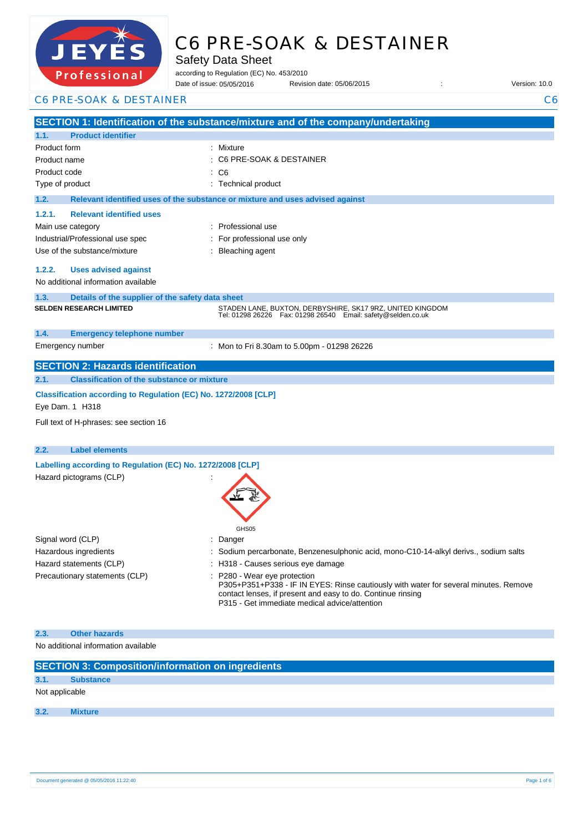

# C6 PRE-SOAK & DESTAINER

Safety Data Sheet

according to Regulation (EC) No. 453/2010

Date of issue: Revision date: 05/06/2015 : Version: 10.0 05/05/2016

C6 PRE-SOAK & DESTAINER C6

**SECTION 1: Identification of the substance/mixture and of the company/undertaking 1.1. Product identifier** Product form : Nixture : Mixture Product name : Product code : Type of product Type of product in the set of the set of the set of the set of the set of the set of the set of the set of the set of the set of the set of the set of the set of the set of the set of the set of the set of **1.2. Relevant identified uses of the substance or mixture and uses advised against 1.2.1. Relevant identified uses**  Main use category **intervalled** and the category of the category of the category of the category of the category Industrial/Professional use spec : For professional use only Use of the substance/mixture : Bleaching agent **1.2.2. Uses advised against** No additional information available **1.3. Details of the supplier of the safety data sheet 1.4. Emergency telephone number** Emergency number : **SECTION 2: Hazards identification 2.1. Classification of the substance or mixture Classification according to Regulation (EC) No. 1272/2008 [CLP]** Eye Dam. 1 H318 Full text of H-phrases: see section 16 **2.2. Label elements Labelling according to Regulation (EC) No. 1272/2008 [CLP]** Hazard pictograms (CLP) : GHS<sub>05</sub> Signal word (CLP)  $\qquad \qquad$ : Danger Hazardous ingredients : Sodium percarbonate, Benzenesulphonic acid, mono-C10-14-alkyl derivs., sodium salts Hazard statements (CLP)  $\qquad \qquad$ : H318 - Causes serious eye damage Precautionary statements (CLP) : P280 - Wear eye protection P305+P351+P338 - IF IN EYES: Rinse cautiously with water for several minutes. Remove contact lenses, if present and easy to do. Continue rinsing P315 - Get immediate medical advice/attention **2.3. Other hazards** C6 PRE-SOAK & DESTAINER  $\therefore$  C6 **SELDEN RESEARCH LIMITED** STADEN LANE, BUXTON, DERBYSHIRE, SK17 9RZ, UNITED KINGDOM Tel: 01298 26226 Fax: 01298 26540 Email: safety@selden.co.uk Mon to Fri 8.30am to 5.00pm - 01298 26226

No additional information available

| <b>SECTION 3: Composition/information on ingredients</b> |                  |  |  |
|----------------------------------------------------------|------------------|--|--|
| 3.1.                                                     | <b>Substance</b> |  |  |
| Not applicable                                           |                  |  |  |
| 3.2.                                                     | <b>Mixture</b>   |  |  |
|                                                          |                  |  |  |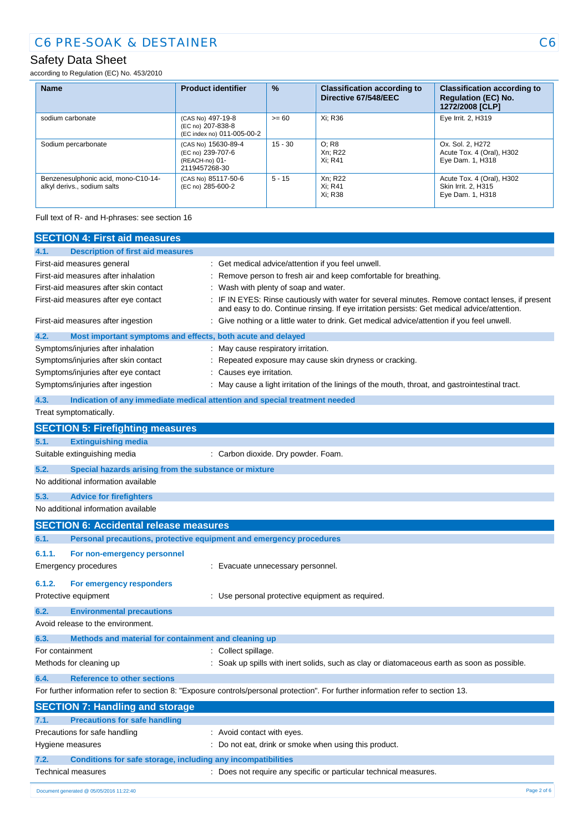## Safety Data Sheet

according to Regulation (EC) No. 453/2010

| <b>Name</b>                                                        | <b>Product identifier</b>                                                   | $\frac{9}{6}$ | <b>Classification according to</b><br>Directive 67/548/EEC | <b>Classification according to</b><br><b>Regulation (EC) No.</b><br>1272/2008 [CLP] |
|--------------------------------------------------------------------|-----------------------------------------------------------------------------|---------------|------------------------------------------------------------|-------------------------------------------------------------------------------------|
| sodium carbonate                                                   | (CAS No) 497-19-8<br>(EC no) 207-838-8<br>(EC index no) 011-005-00-2        | $>= 60$       | Xi: R36                                                    | Eye Irrit. 2, H319                                                                  |
| Sodium percarbonate                                                | (CAS No) 15630-89-4<br>(EC no) 239-707-6<br>(REACH-no) 01-<br>2119457268-30 | $15 - 30$     | O; R8<br>Xn: R22<br>Xi: R41                                | Ox. Sol. 2, H272<br>Acute Tox. 4 (Oral), H302<br>Eye Dam. 1, H318                   |
| Benzenesulphonic acid, mono-C10-14-<br>alkyl derivs., sodium salts | (CAS No) 85117-50-6<br>(EC no) 285-600-2                                    | $5 - 15$      | Xn: R22<br>Xi: R41<br>Xi: R38                              | Acute Tox. 4 (Oral), H302<br>Skin Irrit. 2. H315<br>Eye Dam. 1, H318                |

Full text of R- and H-phrases: see section 16

| <b>SECTION 4: First aid measures</b>                                        |                                                                                                                                                                                               |
|-----------------------------------------------------------------------------|-----------------------------------------------------------------------------------------------------------------------------------------------------------------------------------------------|
| <b>Description of first aid measures</b><br>4.1.                            |                                                                                                                                                                                               |
| First-aid measures general                                                  | Get medical advice/attention if you feel unwell.                                                                                                                                              |
| First-aid measures after inhalation                                         | Remove person to fresh air and keep comfortable for breathing.                                                                                                                                |
| First-aid measures after skin contact                                       | Wash with plenty of soap and water.                                                                                                                                                           |
| First-aid measures after eye contact                                        | IF IN EYES: Rinse cautiously with water for several minutes. Remove contact lenses, if present<br>and easy to do. Continue rinsing. If eye irritation persists: Get medical advice/attention. |
| First-aid measures after ingestion                                          | Give nothing or a little water to drink. Get medical advice/attention if you feel unwell.                                                                                                     |
| 4.2.<br>Most important symptoms and effects, both acute and delayed         |                                                                                                                                                                                               |
| Symptoms/injuries after inhalation                                          | : May cause respiratory irritation.                                                                                                                                                           |
| Symptoms/injuries after skin contact                                        | Repeated exposure may cause skin dryness or cracking.                                                                                                                                         |
| Symptoms/injuries after eye contact                                         | Causes eye irritation.                                                                                                                                                                        |
| Symptoms/injuries after ingestion                                           | May cause a light irritation of the linings of the mouth, throat, and gastrointestinal tract.                                                                                                 |
| 4.3.                                                                        | Indication of any immediate medical attention and special treatment needed                                                                                                                    |
| Treat symptomatically.                                                      |                                                                                                                                                                                               |
| <b>SECTION 5: Firefighting measures</b>                                     |                                                                                                                                                                                               |
| <b>Extinguishing media</b><br>5.1.                                          |                                                                                                                                                                                               |
| Suitable extinguishing media                                                | : Carbon dioxide. Dry powder. Foam.                                                                                                                                                           |
| 5.2.<br>Special hazards arising from the substance or mixture               |                                                                                                                                                                                               |
| No additional information available                                         |                                                                                                                                                                                               |
| 5.3.<br><b>Advice for firefighters</b>                                      |                                                                                                                                                                                               |
| No additional information available                                         |                                                                                                                                                                                               |
| <b>SECTION 6: Accidental release measures</b>                               |                                                                                                                                                                                               |
| Personal precautions, protective equipment and emergency procedures<br>6.1. |                                                                                                                                                                                               |
| 6.1.1.<br>For non-emergency personnel                                       |                                                                                                                                                                                               |
| Emergency procedures                                                        | : Evacuate unnecessary personnel.                                                                                                                                                             |
| 6.1.2.<br>For emergency responders                                          |                                                                                                                                                                                               |
| Protective equipment                                                        | : Use personal protective equipment as required.                                                                                                                                              |
| 6.2.<br><b>Environmental precautions</b>                                    |                                                                                                                                                                                               |
| Avoid release to the environment.                                           |                                                                                                                                                                                               |
| 6.3.<br>Methods and material for containment and cleaning up                |                                                                                                                                                                                               |
| For containment                                                             | Collect spillage.                                                                                                                                                                             |
| Methods for cleaning up                                                     | Soak up spills with inert solids, such as clay or diatomaceous earth as soon as possible.                                                                                                     |
| <b>Reference to other sections</b><br>6.4.                                  |                                                                                                                                                                                               |
|                                                                             | For further information refer to section 8: "Exposure controls/personal protection". For further information refer to section 13.                                                             |
| <b>SECTION 7: Handling and storage</b>                                      |                                                                                                                                                                                               |
| <b>Precautions for safe handling</b><br>7.1.                                |                                                                                                                                                                                               |
| Precautions for safe handling                                               | : Avoid contact with eyes.                                                                                                                                                                    |
| Hygiene measures                                                            | : Do not eat, drink or smoke when using this product.                                                                                                                                         |
| Conditions for safe storage, including any incompatibilities<br>7.2.        |                                                                                                                                                                                               |
| Technical measures                                                          | : Does not require any specific or particular technical measures.                                                                                                                             |
| Document generated @ 05/05/2016 11:22:40                                    | Page 2 of 6                                                                                                                                                                                   |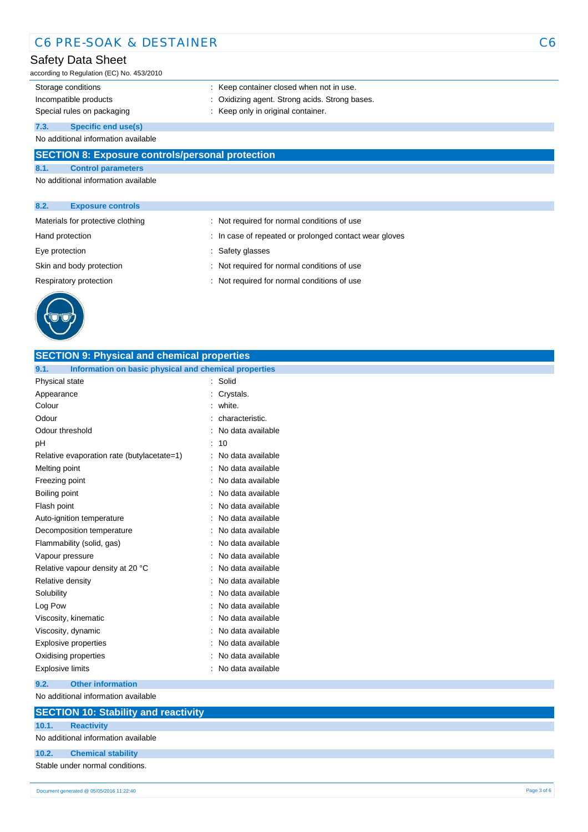## C6 PRE-SOAK & DESTAINER C6

#### Safety Data Sheet

according to Regulation (EC) No. 453/2010

- 
- Storage conditions **Storage conditions** : Keep container closed when not in use.
- Incompatible products : Oxidizing agent. Strong acids. Strong bases.
- Special rules on packaging **interpretate that is example to the Special rules** on packaging in the Keep only in original container.

**7.3. Specific end use(s)**

No additional information available

#### **SECTION 8: Exposure controls/personal protection**

**8.1. Control parameters** No additional information available

#### **8.2. Exposure controls**

| Materials for protective clothing | : Not required for normal conditions of use            |
|-----------------------------------|--------------------------------------------------------|
| Hand protection                   | : In case of repeated or prolonged contact wear gloves |
| Eye protection                    | : Safety glasses                                       |
| Skin and body protection          | : Not required for normal conditions of use            |
| Respiratory protection            | : Not required for normal conditions of use            |
|                                   |                                                        |



| <b>SECTION 9: Physical and chemical properties</b>            |                     |  |
|---------------------------------------------------------------|---------------------|--|
| Information on basic physical and chemical properties<br>9.1. |                     |  |
| Physical state                                                | Solid               |  |
| Appearance                                                    | Crystals.           |  |
| Colour                                                        | white.              |  |
| Odour                                                         | characteristic.     |  |
| Odour threshold                                               | No data available   |  |
| pH                                                            | 10<br>÷             |  |
| Relative evaporation rate (butylacetate=1)                    | No data available   |  |
| Melting point                                                 | No data available   |  |
| Freezing point                                                | No data available   |  |
| Boiling point                                                 | No data available   |  |
| Flash point                                                   | No data available   |  |
| Auto-ignition temperature                                     | : No data available |  |
| Decomposition temperature                                     | No data available   |  |
| Flammability (solid, gas)                                     | No data available   |  |
| Vapour pressure                                               | No data available   |  |
| Relative vapour density at 20 °C                              | No data available   |  |
| Relative density                                              | No data available   |  |
| Solubility                                                    | No data available   |  |
| Log Pow                                                       | No data available   |  |
| Viscosity, kinematic                                          | No data available   |  |
| Viscosity, dynamic                                            | No data available   |  |
| Explosive properties                                          | No data available   |  |
| Oxidising properties                                          | No data available   |  |
| <b>Explosive limits</b>                                       | No data available   |  |
| 9.2.<br><b>Other information</b>                              |                     |  |

No additional information available

#### **SECTION 10: Stability and reactivity**

**10.1. Reactivity** No additional information available

### **10.2. Chemical stability**

Stable under normal conditions.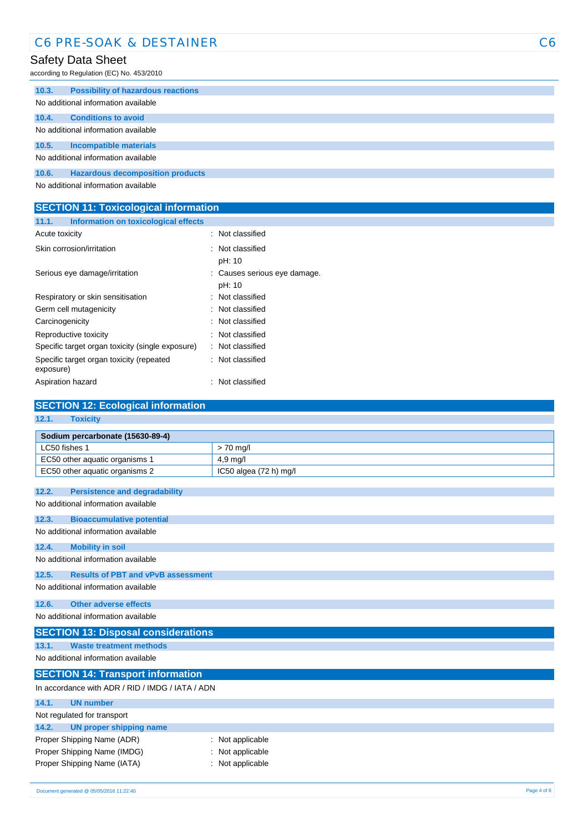## C6 PRE-SOAK & DESTAINER C6

## Safety Data Sheet

according to Regulation (EC) No. 453/2010

| 10.3.                               | <b>Possibility of hazardous reactions</b> |  |  |
|-------------------------------------|-------------------------------------------|--|--|
|                                     | No additional information available       |  |  |
| 10.4.                               | <b>Conditions to avoid</b>                |  |  |
| No additional information available |                                           |  |  |
| 10.5.                               | Incompatible materials                    |  |  |
|                                     | No additional information available       |  |  |
| 10.6.                               | <b>Hazardous decomposition products</b>   |  |  |
|                                     | No additional information available       |  |  |

No additional information available

| <b>SECTION 11: Toxicological information</b> |                                      |                |  |
|----------------------------------------------|--------------------------------------|----------------|--|
| 11.1.                                        | Information on toxicological effects |                |  |
| Acute toxicity                               |                                      | Not classified |  |

| Skin corrosion/irritation                             | : Not classified             |
|-------------------------------------------------------|------------------------------|
|                                                       | pH: 10                       |
| Serious eye damage/irritation                         | : Causes serious eye damage. |
|                                                       | pH: 10                       |
| Respiratory or skin sensitisation                     | : Not classified             |
| Germ cell mutagenicity                                | : Not classified             |
| Carcinogenicity                                       | : Not classified             |
| Reproductive toxicity                                 | : Not classified             |
| Specific target organ toxicity (single exposure)      | : Not classified             |
| Specific target organ toxicity (repeated<br>exposure) | : Not classified             |
| Aspiration hazard                                     | : Not classified             |

| <b>SECTION 12: Ecological information</b>          |                        |  |  |
|----------------------------------------------------|------------------------|--|--|
| 12.1.<br><b>Toxicity</b>                           |                        |  |  |
| Sodium percarbonate (15630-89-4)                   |                        |  |  |
| LC50 fishes 1                                      | $> 70$ mg/             |  |  |
| EC50 other aquatic organisms 1                     | 4,9 mg/l               |  |  |
| EC50 other aquatic organisms 2                     | IC50 algea (72 h) mg/l |  |  |
| 12.2.<br><b>Persistence and degradability</b>      |                        |  |  |
| No additional information available                |                        |  |  |
|                                                    |                        |  |  |
| 12.3.<br><b>Bioaccumulative potential</b>          |                        |  |  |
| No additional information available                |                        |  |  |
| 12.4.<br><b>Mobility in soil</b>                   |                        |  |  |
| No additional information available                |                        |  |  |
| 12.5.<br><b>Results of PBT and vPvB assessment</b> |                        |  |  |
| No additional information available                |                        |  |  |
| <b>Other adverse effects</b><br>12.6.              |                        |  |  |
| No additional information available                |                        |  |  |
| <b>SECTION 13: Disposal considerations</b>         |                        |  |  |
| 13.1.<br><b>Waste treatment methods</b>            |                        |  |  |
| No additional information available                |                        |  |  |
| <b>SECTION 14: Transport information</b>           |                        |  |  |
| In accordance with ADR / RID / IMDG / IATA / ADN   |                        |  |  |
| 14.1.<br><b>UN number</b>                          |                        |  |  |
| Not regulated for transport                        |                        |  |  |
| <b>UN proper shipping name</b><br>14.2.            |                        |  |  |
| Proper Shipping Name (ADR)<br>: Not applicable     |                        |  |  |
| Proper Shipping Name (IMDG)                        | Not applicable         |  |  |
| Proper Shipping Name (IATA)                        | Not applicable         |  |  |
|                                                    |                        |  |  |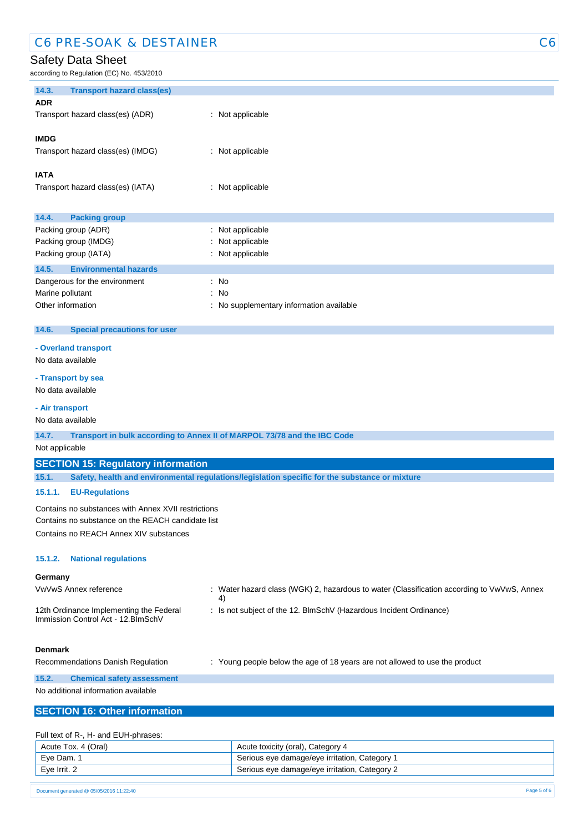## C6 PRE-SOAK & DESTAINER C6

#### Safety Data Sheet

| ccording to Regulation (EC) No. 453/2010            |                                                                                                |
|-----------------------------------------------------|------------------------------------------------------------------------------------------------|
| 14.3.<br><b>Transport hazard class(es)</b>          |                                                                                                |
| <b>ADR</b>                                          |                                                                                                |
| Transport hazard class(es) (ADR)                    | : Not applicable                                                                               |
| <b>IMDG</b>                                         |                                                                                                |
| Transport hazard class(es) (IMDG)                   | : Not applicable                                                                               |
|                                                     |                                                                                                |
| <b>IATA</b>                                         |                                                                                                |
| Transport hazard class(es) (IATA)                   | : Not applicable                                                                               |
|                                                     |                                                                                                |
| 14.4.<br><b>Packing group</b>                       |                                                                                                |
| Packing group (ADR)                                 | : Not applicable                                                                               |
| Packing group (IMDG)                                | Not applicable                                                                                 |
| Packing group (IATA)                                | : Not applicable                                                                               |
| 14.5.<br><b>Environmental hazards</b>               |                                                                                                |
| Dangerous for the environment<br>Marine pollutant   | : No<br>No<br>÷                                                                                |
| Other information                                   | No supplementary information available                                                         |
|                                                     |                                                                                                |
| <b>Special precautions for user</b><br>14.6.        |                                                                                                |
| - Overland transport                                |                                                                                                |
| No data available                                   |                                                                                                |
| - Transport by sea                                  |                                                                                                |
| No data available                                   |                                                                                                |
|                                                     |                                                                                                |
| - Air transport<br>No data available                |                                                                                                |
|                                                     |                                                                                                |
| 14.7.<br>Not applicable                             | Transport in bulk according to Annex II of MARPOL 73/78 and the IBC Code                       |
|                                                     |                                                                                                |
| <b>SECTION 15: Regulatory information</b><br>15.1.  |                                                                                                |
|                                                     | Safety, health and environmental regulations/legislation specific for the substance or mixture |
| 15.1.1.<br><b>EU-Regulations</b>                    |                                                                                                |
| Contains no substances with Annex XVII restrictions |                                                                                                |
| Contains no substance on the REACH candidate list   |                                                                                                |
| Contains no REACH Annex XIV substances              |                                                                                                |
| 15.1.2.<br><b>National regulations</b>              |                                                                                                |
|                                                     |                                                                                                |
| Germany<br>VwVwS Annex reference                    | : Water hazard class (WGK) 2, hazardous to water (Classification according to VwVwS, Annex     |
|                                                     | 4)                                                                                             |
| 12th Ordinance Implementing the Federal             | : Is not subject of the 12. BlmSchV (Hazardous Incident Ordinance)                             |
| Immission Control Act - 12. BlmSchV                 |                                                                                                |
|                                                     |                                                                                                |
| <b>Denmark</b>                                      |                                                                                                |
| Recommendations Danish Regulation                   | : Young people below the age of 18 years are not allowed to use the product                    |
| 15.2.<br><b>Chemical safety assessment</b>          |                                                                                                |
| No additional information available                 |                                                                                                |
| <b>SECTION 16: Other information</b>                |                                                                                                |
|                                                     |                                                                                                |
| Full text of R-, H- and EUH-phrases:                |                                                                                                |

| Acute Tox. 4 (Oral) | Acute toxicity (oral), Category 4             |
|---------------------|-----------------------------------------------|
| Eye Dam. 1          | Serious eye damage/eye irritation, Category 1 |
| Eye Irrit. 2        | Serious eye damage/eye irritation, Category 2 |

09/06/2015 EN (English) 5/6 Document generated @ 05/05/2016 11:22:40 Page 5 of 6